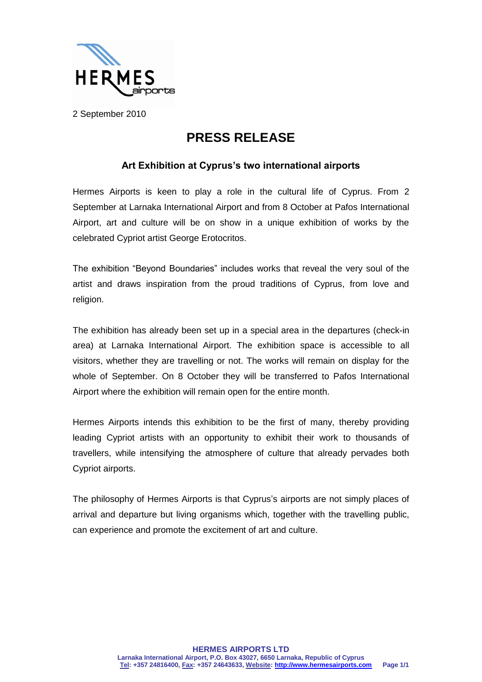

2 September 2010

## **PRESS RELEASE**

## **Art Exhibition at Cyprus's two international airports**

Hermes Airports is keen to play a role in the cultural life of Cyprus. From 2 September at Larnaka International Airport and from 8 October at Pafos International Airport, art and culture will be on show in a unique exhibition of works by the celebrated Cypriot artist George Erotocritos.

The exhibition "Beyond Boundaries" includes works that reveal the very soul of the artist and draws inspiration from the proud traditions of Cyprus, from love and religion.

The exhibition has already been set up in a special area in the departures (check-in area) at Larnaka International Airport. The exhibition space is accessible to all visitors, whether they are travelling or not. The works will remain on display for the whole of September. On 8 October they will be transferred to Pafos International Airport where the exhibition will remain open for the entire month.

Hermes Airports intends this exhibition to be the first of many, thereby providing leading Cypriot artists with an opportunity to exhibit their work to thousands of travellers, while intensifying the atmosphere of culture that already pervades both Cypriot airports.

The philosophy of Hermes Airports is that Cyprus's airports are not simply places of arrival and departure but living organisms which, together with the travelling public, can experience and promote the excitement of art and culture.